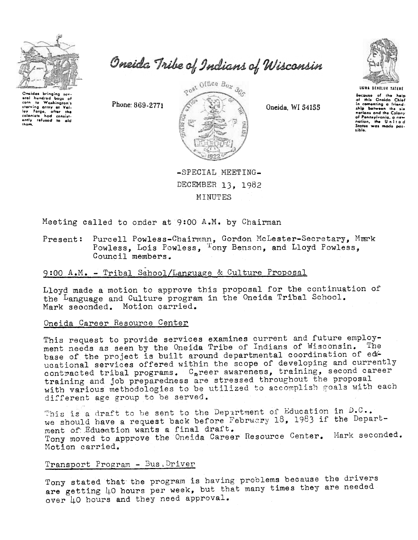

Oneida Tribe of Indians of Wisconsin

Oneidas bringing soveral hundred bags of to Washington's corn starving army at Val-<br>ley Forge, ofter the<br>colonists had consist-<br>only refused to ald them.

Phone: 869-2771



Oneida. WI 54155



Because of the help<br>of this Oneida Chief in comenting a friendnations and the Colony of Pennsylvania, a new<br>nation, the United<br>States was made posaible.

-SPECIAL MEETING-DECEMBER 13. 1982 MINUTES

Meeting called to order at 9:00 A.M. by Chairman

Purcell Powless-Chairman, Gordon McLester-Secretary, Mark Present: Powless, Lois Powless, <sup>T</sup>ony Benson, and Lloyd Powless, Council members.

# 9:00 A.M. - Tribal School/Language & Culture Proposal

Lloyd made a motion to approve this proposal for the continuation of the Language and Culture program in the Oneida Tribal School. Mark seconded. Motion carried.

# Oneida Career Resource Center

This request to provide services examines current and future employment needs as seen by the Oneida Tribe of Indians of Wisconsin. The base of the project is built around departmental coordination of educational services offered within the scope of developing and currently contracted tribal programs. C<sub>a</sub>reer awareness, training, second career training and job preparedness are stressed throughout the proposal with various methodologies to be utilized to accomplish goals with each different age group to be served.

This is a draft to be sent to the Department of Education in D.C.. we should have a request back before February 18, 1983 if the Department of Education wants a final draft. Tony moved to approve the Oneida Career Resource Center. Mark seconded. Motion carried.

## Transport Program - Bus, Driver

Tony stated that the program is having problems because the drivers are getting 40 hours per week, but that many times they are needed over 40 hours and they need approval.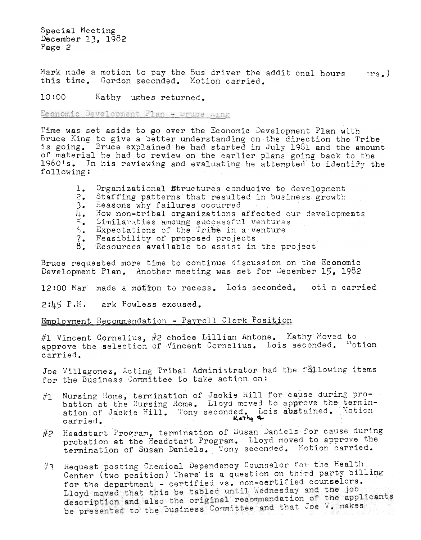Special Meeting December 13, 1982 Page  $2$ 

Mark made a motion to pay the Bus driver the addit onal hours  $nrs.$ this time. Gordon seconded. Motion carried.

 $10:00$ Kathy ughes returned.

Economic Development Plan - Druce Aing

Time was set aside to go over the Economic Development Plan with Bruce King to give a better understanding on the direction the Tribe is going. Bruce explained he had started in July 1981 and the amount of material he had to review on the earlier plans going back to the 1960's. In his reviewing and evaluating he attempted to identify the following:

- Organizational Structures conducive to development ı.
- $2.$ Staffing patterns that resulted in business growth
- Reasons why failures occurred  $3.$
- I<sub>1</sub>. How non-tribal organizations affected our developments
- Similaraties amoung successful ventures
- Expectations of the Tribe in a venture  $5 -$
- Feasibility of proposed projects
- $\overline{\overset{?}{8}}$ . Resources available to assist in the project

Bruce requested more time to continue discussion on the Economic Development Plan. Another meeting was set for December 15, 1982

12:00 Mar made a motion to recess. Lois seconded. oti n carried

2:45 P.M. ark Powless excused.

Employment Recommendation - Payroll Clerk Position

#1 Vincent Cornelius, #2 choice Lillian Antone. Kathy Moved to approve the selection of Vincent Cornelius. Lois seconded. "otion carried.

Joe Villagomez, Acting Tribal Administrator had the following items for the Business Committee to take action on:

- Nursing Home, termination of Jackie Hill for cause during pro-<br>bation at the Hursing Home. Lloyd moved to approve the termin- $\#1$ ation of Jackie Hill. Tony seconded. Lois abstained. Motion carried.
- #2 Headstart Program, termination of Susan Daniels for cause during probation at the Headstart Program. Lloyd moved to approve the termination of Susan Daniels. Tony seconded. Motion carried.
- #3 Request posting Chemical Dependency Counselor for the Health Center (two position) There is a question on third party billing for the department - certified vs. non-certified counselors. Lloyd moved that this be tabled until Wednesday and the job description and also the original recommendation of the applicants be presented to the Business Committee and that Joe V. makes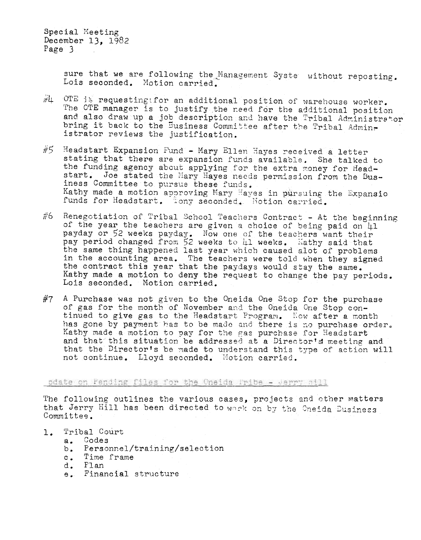Special Meeting December 13. 1982 Page  $3$ 

> sure that we are following the Management Syste without reposting. Lois seconded. Motion carried.

- $\#$ 4 OTE is requesting for an additional position of warehouse worker. The OTE manager is to justify the need for the additional position and also draw up a job description and have the Tribal Administrator bring it back to the Business Committee after the Tribal Administrator reviews the justification.
- #5 Headstart Expansion Fund Mary Ellen Hayes received a letter stating that there are expansion funds available. She talked to the funding agency about applying for the extra money for Headstart. Joe stated the Mary Hayes needs permission from the Business Committee to pursue these funds. Kathy made a motion approving Mary Hayes in pursuing the Expansio funds for Headstart. Tony seconded. Motion carried.
- #6 Renegotiation of Tribal School Teachers Contract At the beginning of the year the teachers are given a choice of being paid on 41 payday or 52 weeks payday. Now one of the teachers want their pay period changed from 52 weeks to 11 weeks. Kathy said that the same thing happened last year which caused alot of problems in the accounting area. The teachers were told when they signed the contract this year that the paydays would stay the same. Kathy made a motion to deny the request to change the pay periods. Lois seconded. Motion carried.
- $#7$  A Purchase was not given to the Oneida One Stop for the purchase of gas for the month of November and the Oneida One Stop continued to give gas to the Headstart Program. Now after a month has gone by payment has to be made and there is no purchase order. Kathy made a motion to pay for the gas purchase for Headstart and that this situation be addressed at a Director's meeting and that the Director's be made to understand this type of action will not continue. Lloyd seconded. Motion carried.

pdate on Pending files for the Oneida Fribe - Jerry still

The following outlines the various cases, projects and other matters that Jerry Hill has been directed to work on by the Oneida Business Committee.

- 1. Tribal Court
	- a. Codes
	- Personnel/training/selection  $b_{\bullet}$
	- Time frame  $c_{\bullet}$
	- d. Flan
	- e. Financial structure